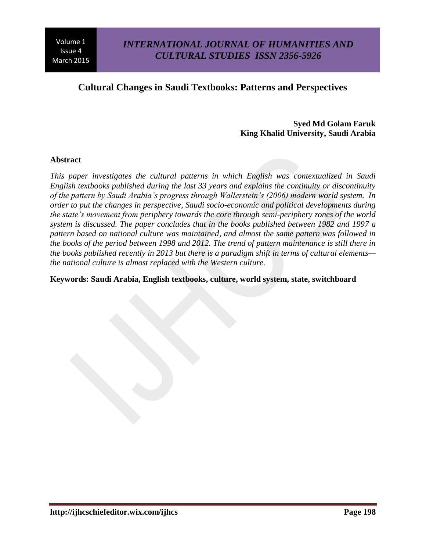# **Cultural Changes in Saudi Textbooks: Patterns and Perspectives**

### **Syed Md Golam Faruk King Khalid University, Saudi Arabia**

#### **Abstract**

*This paper investigates the cultural patterns in which English was contextualized in Saudi English textbooks published during the last 33 years and explains the continuity or discontinuity of the pattern by Saudi Arabia's progress through Wallerstein's (2006) modern world system. In order to put the changes in perspective, Saudi socio-economic and political developments during the state's movement from periphery towards the core through semi-periphery zones of the world system is discussed. The paper concludes that in the books published between 1982 and 1997 a pattern based on national culture was maintained, and almost the same pattern was followed in the books of the period between 1998 and 2012. The trend of pattern maintenance is still there in the books published recently in 2013 but there is a paradigm shift in terms of cultural elements the national culture is almost replaced with the Western culture.*

**Keywords: Saudi Arabia, English textbooks, culture, world system, state, switchboard**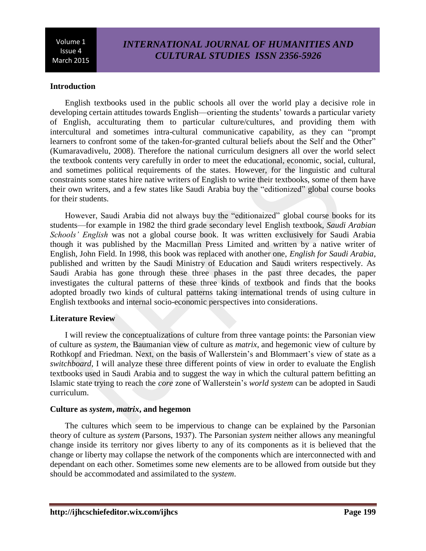# *INTERNATIONAL JOURNAL OF HUMANITIES AND CULTURAL STUDIES ISSN 2356-5926*

### **Introduction**

English textbooks used in the public schools all over the world play a decisive role in developing certain attitudes towards English—orienting the students' towards a particular variety of English, acculturating them to particular culture/cultures, and providing them with intercultural and sometimes intra-cultural communicative capability, as they can "prompt learners to confront some of the taken-for-granted cultural beliefs about the Self and the Other" (Kumaravadivelu, 2008). Therefore the national curriculum designers all over the world select the textbook contents very carefully in order to meet the educational, economic, social, cultural, and sometimes political requirements of the states. However, for the linguistic and cultural constraints some states hire native writers of English to write their textbooks, some of them have their own writers, and a few states like Saudi Arabia buy the "editionized" global course books for their students.

However, Saudi Arabia did not always buy the "editionaized" global course books for its students—for example in 1982 the third grade secondary level English textbook, *Saudi Arabian Schools' English* was not a global course book. It was written exclusively for Saudi Arabia though it was published by the Macmillan Press Limited and written by a native writer of English, John Field. In 1998, this book was replaced with another one, *English for Saudi Arabia*, published and written by the Saudi Ministry of Education and Saudi writers respectively. As Saudi Arabia has gone through these three phases in the past three decades, the paper investigates the cultural patterns of these three kinds of textbook and finds that the books adopted broadly two kinds of cultural patterns taking international trends of using culture in English textbooks and internal socio-economic perspectives into considerations.

#### **Literature Review**

I will review the conceptualizations of culture from three vantage points: the Parsonian view of culture as *system*, the Baumanian view of culture as *matrix*, and hegemonic view of culture by Rothkopf and Friedman. Next, on the basis of Wallerstein's and Blommaert's view of state as a *switchboard*, I will analyze these three different points of view in order to evaluate the English textbooks used in Saudi Arabia and to suggest the way in which the cultural pattern befitting an Islamic state trying to reach the *core* zone of Wallerstein's *world system* can be adopted in Saudi curriculum.

#### **Culture as** *system***,** *matrix***, and hegemon**

The cultures which seem to be impervious to change can be explained by the Parsonian theory of culture as *system* (Parsons, 1937). The Parsonian *system* neither allows any meaningful change inside its territory nor gives liberty to any of its components as it is believed that the change or liberty may collapse the network of the components which are interconnected with and dependant on each other. Sometimes some new elements are to be allowed from outside but they should be accommodated and assimilated to the *system*.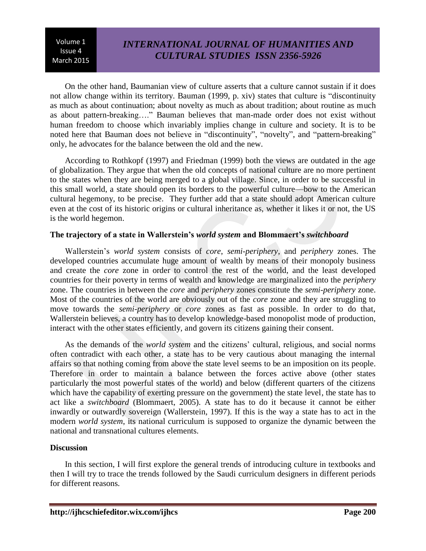# *INTERNATIONAL JOURNAL OF HUMANITIES AND CULTURAL STUDIES ISSN 2356-5926*

On the other hand, Baumanian view of culture asserts that a culture cannot sustain if it does not allow change within its territory. Bauman (1999, p. xiv) states that culture is "discontinuity as much as about continuation; about novelty as much as about tradition; about routine as much as about pattern-breaking…." Bauman believes that man-made order does not exist without human freedom to choose which invariably implies change in culture and society. It is to be noted here that Bauman does not believe in "discontinuity", "novelty", and "pattern-breaking" only, he advocates for the balance between the old and the new.

According to Rothkopf (1997) and Friedman (1999) both the views are outdated in the age of globalization. They argue that when the old concepts of national culture are no more pertinent to the states when they are being merged to a global village. Since, in order to be successful in this small world, a state should open its borders to the powerful culture—bow to the American cultural hegemony, to be precise. They further add that a state should adopt American culture even at the cost of its historic origins or cultural inheritance as, whether it likes it or not, the US is the world hegemon.

### **The trajectory of a state in Wallerstein's** *world system* **and Blommaert's** *switchboard*

Wallerstein's *world system* consists of *core*, *semi-periphery*, and *periphery* zones. The developed countries accumulate huge amount of wealth by means of their monopoly business and create the *core* zone in order to control the rest of the world, and the least developed countries for their poverty in terms of wealth and knowledge are marginalized into the *periphery* zone. The countries in between the *core* and *periphery* zones constitute the *semi-periphery* zone. Most of the countries of the world are obviously out of the *core* zone and they are struggling to move towards the *semi-periphery* or *core* zones as fast as possible. In order to do that, Wallerstein believes, a country has to develop knowledge-based monopolist mode of production, interact with the other states efficiently, and govern its citizens gaining their consent.

As the demands of the *world system* and the citizens' cultural, religious, and social norms often contradict with each other, a state has to be very cautious about managing the internal affairs so that nothing coming from above the state level seems to be an imposition on its people. Therefore in order to maintain a balance between the forces active above (other states particularly the most powerful states of the world) and below (different quarters of the citizens which have the capability of exerting pressure on the government) the state level, the state has to act like a *switchboard* (Blommaert, 2005). A state has to do it because it cannot be either inwardly or outwardly sovereign (Wallerstein, 1997). If this is the way a state has to act in the modern *world system*, its national curriculum is supposed to organize the dynamic between the national and transnational cultures elements.

#### **Discussion**

In this section, I will first explore the general trends of introducing culture in textbooks and then I will try to trace the trends followed by the Saudi curriculum designers in different periods for different reasons.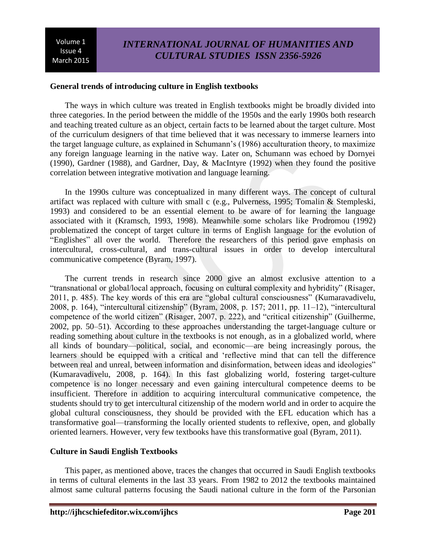# *INTERNATIONAL JOURNAL OF HUMANITIES AND CULTURAL STUDIES ISSN 2356-5926*

#### **General trends of introducing culture in English textbooks**

The ways in which culture was treated in English textbooks might be broadly divided into three categories. In the period between the middle of the 1950s and the early 1990s both research and teaching treated culture as an object, certain facts to be learned about the target culture. Most of the curriculum designers of that time believed that it was necessary to immerse learners into the target language culture, as explained in Schumann's (1986) acculturation theory, to maximize any foreign language learning in the native way. Later on, Schumann was echoed by Dornyei (1990), Gardner (1988), and Gardner, Day, & MacIntyre (1992) when they found the positive correlation between integrative motivation and language learning.

In the 1990s culture was conceptualized in many different ways. The concept of cultural artifact was replaced with culture with small c (e.g., Pulverness, 1995; Tomalin & Stempleski, 1993) and considered to be an essential element to be aware of for learning the language associated with it (Kramsch, 1993, 1998). Meanwhile some scholars like Prodromou (1992) problematized the concept of target culture in terms of English language for the evolution of "Englishes" all over the world. Therefore the researchers of this period gave emphasis on intercultural, cross-cultural, and trans-cultural issues in order to develop intercultural communicative competence (Byram, 1997).

The current trends in research since 2000 give an almost exclusive attention to a "transnational or global/local approach, focusing on cultural complexity and hybridity" (Risager, 2011, p. 485). The key words of this era are "global cultural consciousness" (Kumaravadivelu, 2008, p. 164), "intercultural citizenship" (Byram, 2008, p. 157; 2011, pp. 11–12), "intercultural competence of the world citizen" (Risager, 2007, p. 222), and "critical citizenship" (Guilherme, 2002, pp. 50–51). According to these approaches understanding the target-language culture or reading something about culture in the textbooks is not enough, as in a globalized world, where all kinds of boundary—political, social, and economic—are being increasingly porous, the learners should be equipped with a critical and 'reflective mind that can tell the difference between real and unreal, between information and disinformation, between ideas and ideologies" (Kumaravadivelu, 2008, p. 164). In this fast globalizing world, fostering target-culture competence is no longer necessary and even gaining intercultural competence deems to be insufficient. Therefore in addition to acquiring intercultural communicative competence, the students should try to get intercultural citizenship of the modern world and in order to acquire the global cultural consciousness, they should be provided with the EFL education which has a transformative goal—transforming the locally oriented students to reflexive, open, and globally oriented learners. However, very few textbooks have this transformative goal (Byram, 2011).

#### **Culture in Saudi English Textbooks**

This paper, as mentioned above, traces the changes that occurred in Saudi English textbooks in terms of cultural elements in the last 33 years. From 1982 to 2012 the textbooks maintained almost same cultural patterns focusing the Saudi national culture in the form of the Parsonian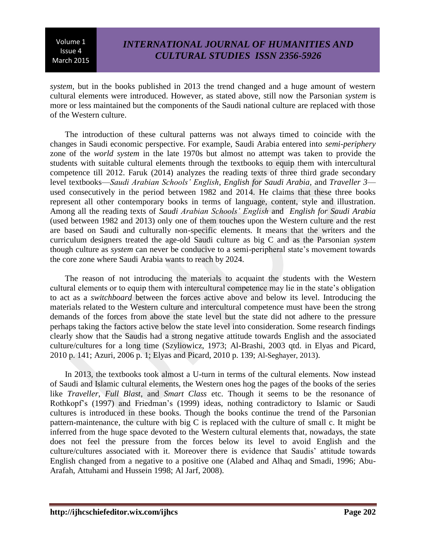# *INTERNATIONAL JOURNAL OF HUMANITIES AND CULTURAL STUDIES ISSN 2356-5926*

*system,* but in the books published in 2013 the trend changed and a huge amount of western cultural elements were introduced. However, as stated above, still now the Parsonian *system* is more or less maintained but the components of the Saudi national culture are replaced with those of the Western culture.

The introduction of these cultural patterns was not always timed to coincide with the changes in Saudi economic perspective. For example, Saudi Arabia entered into *semi-periphery* zone of the *world system* in the late 1970s but almost no attempt was taken to provide the students with suitable cultural elements through the textbooks to equip them with intercultural competence till 2012. Faruk (2014) analyzes the reading texts of three third grade secondary level textbooks—*Saudi Arabian Schools' English*, *English for Saudi Arabia,* and *Traveller 3* used consecutively in the period between 1982 and 2014. He claims that these three books represent all other contemporary books in terms of language, content, style and illustration. Among all the reading texts of *Saudi Arabian Schools' English* and *English for Saudi Arabia* (used between 1982 and 2013) only one of them touches upon the Western culture and the rest are based on Saudi and culturally non-specific elements. It means that the writers and the curriculum designers treated the age-old Saudi culture as big C and as the Parsonian *system* though culture as *system* can never be conducive to a semi-peripheral state's movement towards the core zone where Saudi Arabia wants to reach by 2024.

The reason of not introducing the materials to acquaint the students with the Western cultural elements or to equip them with intercultural competence may lie in the state's obligation to act as a *switchboard* between the forces active above and below its level. Introducing the materials related to the Western culture and intercultural competence must have been the strong demands of the forces from above the state level but the state did not adhere to the pressure perhaps taking the factors active below the state level into consideration. Some research findings clearly show that the Saudis had a strong negative attitude towards English and the associated culture/cultures for a long time (Szyliowicz, 1973; Al-Brashi, 2003 qtd. in Elyas and Picard, 2010 p. 141; Azuri, 2006 p. 1; Elyas and Picard, 2010 p. 139; Al-Seghayer, 2013).

In 2013, the textbooks took almost a U-turn in terms of the cultural elements. Now instead of Saudi and Islamic cultural elements, the Western ones hog the pages of the books of the series like *Traveller*, *Full Blast*, and *Smart Class* etc. Though it seems to be the resonance of Rothkopf's (1997) and Friedman's (1999) ideas, nothing contradictory to Islamic or Saudi cultures is introduced in these books. Though the books continue the trend of the Parsonian pattern-maintenance, the culture with big C is replaced with the culture of small c. It might be inferred from the huge space devoted to the Western cultural elements that, nowadays, the state does not feel the pressure from the forces below its level to avoid English and the culture/cultures associated with it. Moreover there is evidence that Saudis' attitude towards English changed from a negative to a positive one (Alabed and Alhaq and Smadi, 1996; Abu-Arafah, Attuhami and Hussein 1998; Al Jarf, 2008).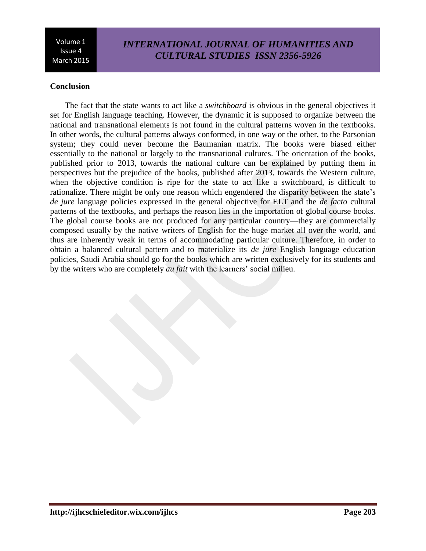# *INTERNATIONAL JOURNAL OF HUMANITIES AND CULTURAL STUDIES ISSN 2356-5926*

### **Conclusion**

The fact that the state wants to act like a *switchboard* is obvious in the general objectives it set for English language teaching. However, the dynamic it is supposed to organize between the national and transnational elements is not found in the cultural patterns woven in the textbooks. In other words, the cultural patterns always conformed, in one way or the other, to the Parsonian system; they could never become the Baumanian matrix. The books were biased either essentially to the national or largely to the transnational cultures. The orientation of the books, published prior to 2013, towards the national culture can be explained by putting them in perspectives but the prejudice of the books, published after 2013, towards the Western culture, when the objective condition is ripe for the state to act like a switchboard, is difficult to rationalize. There might be only one reason which engendered the disparity between the state's *de jure* language policies expressed in the general objective for ELT and the *de facto* cultural patterns of the textbooks, and perhaps the reason lies in the importation of global course books. The global course books are not produced for any particular country—they are commercially composed usually by the native writers of English for the huge market all over the world, and thus are inherently weak in terms of accommodating particular culture. Therefore, in order to obtain a balanced cultural pattern and to materialize its *de jure* English language education policies, Saudi Arabia should go for the books which are written exclusively for its students and by the writers who are completely *au fait* with the learners' social milieu.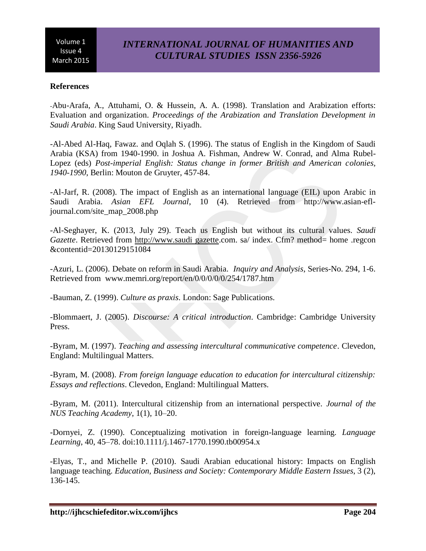# *INTERNATIONAL JOURNAL OF HUMANITIES AND CULTURAL STUDIES ISSN 2356-5926*

### **References**

-Abu-Arafa, A., Attuhami, O. & Hussein, A. A. (1998). Translation and Arabization efforts: Evaluation and organization. *Proceedings of the Arabization and Translation Development in Saudi Arabia*. King Saud University, Riyadh.

-Al-Abed Al-Haq, Fawaz. and Oqlah S. (1996). The status of English in the Kingdom of Saudi Arabia (KSA) from 1940-1990. in Joshua A. Fishman, Andrew W. Conrad, and Alma Rubel-Lopez (eds) *Post-imperial English: Status change in former British and American colonies, 1940-1990*, Berlin: Mouton de Gruyter, 457-84.

-Al-Jarf, R. (2008). The impact of English as an international language (EIL) upon Arabic in Saudi Arabia. *Asian EFL Journal*, 10 (4). Retrieved from http://www.asian-efljournal.com/site\_map\_2008.php

-Al-Seghayer, K. (2013, July 29). Teach us English but without its cultural values. *Saudi Gazette*. Retrieved from http://www.saudi gazette.com. sa/ index. Cfm? method= home .regcon &contentid=20130129151084

-Azuri, L. (2006). Debate on reform in Saudi Arabia. *Inquiry and Analysis*, Series-No. 294, 1-6. Retrieved from www.memri.org/report/en/0/0/0/0/0/254/1787.htm

-Bauman, Z. (1999). *Culture as praxis*. London: Sage Publications.

-Blommaert, J. (2005). *Discourse: A critical introduction*. Cambridge: Cambridge University Press.

-Byram, M. (1997). *Teaching and assessing intercultural communicative competence*. Clevedon, England: Multilingual Matters.

-Byram, M. (2008). *From foreign language education to education for intercultural citizenship: Essays and reflections*. Clevedon, England: Multilingual Matters.

-Byram, M. (2011). Intercultural citizenship from an international perspective. *Journal of the NUS Teaching Academy*, 1(1), 10–20.

-Dornyei, Z. (1990). Conceptualizing motivation in foreign-language learning. *Language Learning*, 40, 45–78. doi:10.1111/j.1467-1770.1990.tb00954.x

-Elyas, T., and Michelle P. (2010). Saudi Arabian educational history: Impacts on English language teaching. *Education, Business and Society: Contemporary Middle Eastern Issues*, 3 (2), 136-145.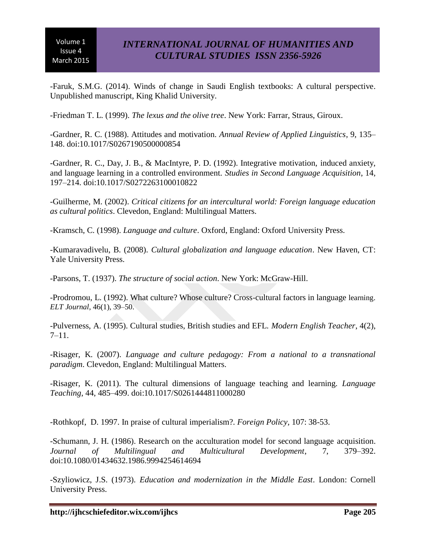-Faruk, S.M.G. (2014). Winds of change in Saudi English textbooks: A cultural perspective. Unpublished manuscript, King Khalid University.

-Friedman T. L. (1999). *The lexus and the olive tree*. New York: Farrar, Straus, Giroux.

-Gardner, R. C. (1988). Attitudes and motivation. *Annual Review of Applied Linguistics*, 9, 135– 148. doi:10.1017/S0267190500000854

-Gardner, R. C., Day, J. B., & MacIntyre, P. D. (1992). Integrative motivation, induced anxiety, and language learning in a controlled environment. *Studies in Second Language Acquisition*, 14, 197–214. doi:10.1017/S0272263100010822

-Guilherme, M. (2002). *Critical citizens for an intercultural world: Foreign language education as cultural politics*. Clevedon, England: Multilingual Matters.

-Kramsch, C. (1998). *Language and culture*. Oxford, England: Oxford University Press.

-Kumaravadivelu, B. (2008). *Cultural globalization and language education*. New Haven, CT: Yale University Press.

-Parsons, T. (1937). *The structure of social action*. New York: McGraw-Hill.

-Prodromou, L. (1992). What culture? Whose culture? Cross-cultural factors in language learning. *ELT Journal*, 46(1), 39–50.

-Pulverness, A. (1995). Cultural studies, British studies and EFL. *Modern English Teacher*, 4(2), 7–11.

-Risager, K. (2007). *Language and culture pedagogy: From a national to a transnational paradigm*. Clevedon, England: Multilingual Matters.

-Risager, K. (2011). The cultural dimensions of language teaching and learning. *Language Teaching*, 44, 485–499. doi:10.1017/S0261444811000280

-Rothkopf, D. 1997. In praise of cultural imperialism?. *Foreign Policy,* 107: 38-53.

-Schumann, J. H. (1986). Research on the acculturation model for second language acquisition. *Journal of Multilingual and Multicultural Development*, 7, 379–392. doi:10.1080/01434632.1986.9994254614694

-Szyliowicz, J.S. (1973). *Education and modernization in the Middle East*. London: Cornell University Press.